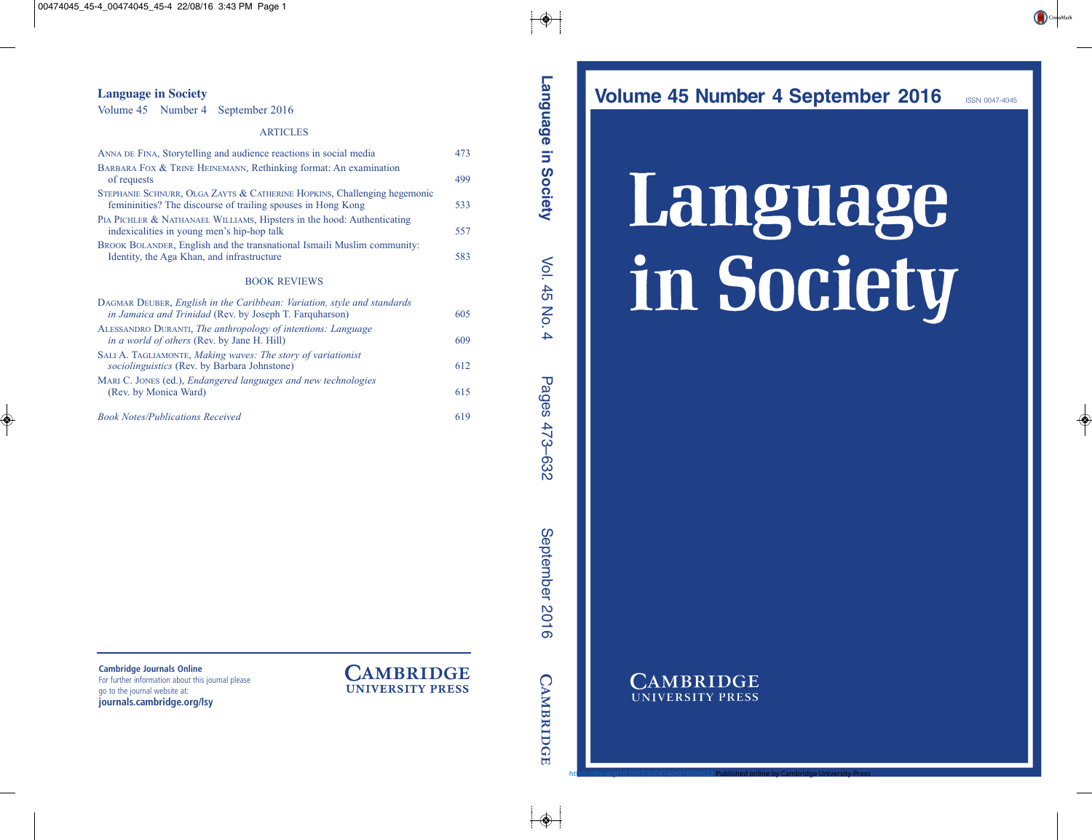**Volume 45 Number 4 September 2016** ISSN 0047-4045

# Language in Society